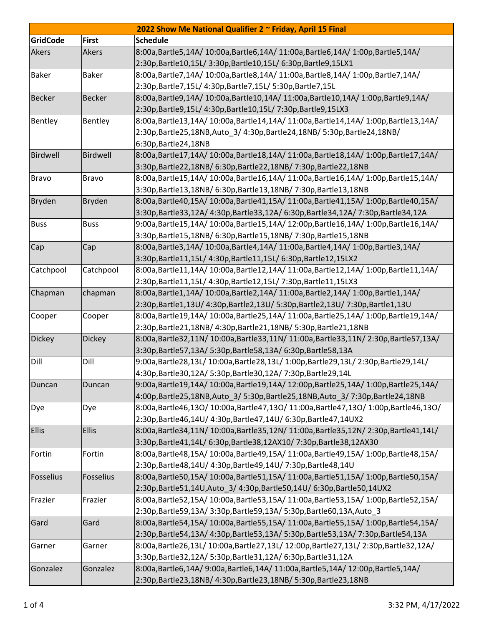| 2022 Show Me National Qualifier 2 ~ Friday, April 15 Final |               |                                                                                   |  |  |  |
|------------------------------------------------------------|---------------|-----------------------------------------------------------------------------------|--|--|--|
| <b>GridCode</b>                                            | <b>First</b>  | <b>Schedule</b>                                                                   |  |  |  |
| Akers                                                      | Akers         | 8:00a,Bartle5,14A/ 10:00a,Bartle6,14A/ 11:00a,Bartle6,14A/ 1:00p,Bartle5,14A/     |  |  |  |
|                                                            |               | 2:30p,Bartle10,15L/ 3:30p,Bartle10,15L/ 6:30p,Bartle9,15LX1                       |  |  |  |
| <b>Baker</b>                                               | <b>Baker</b>  | 8:00a,Bartle7,14A/ 10:00a,Bartle8,14A/ 11:00a,Bartle8,14A/ 1:00p,Bartle7,14A/     |  |  |  |
|                                                            |               | 2:30p,Bartle7,15L/ 4:30p,Bartle7,15L/ 5:30p,Bartle7,15L                           |  |  |  |
| <b>Becker</b>                                              | <b>Becker</b> | 8:00a,Bartle9,14A/ 10:00a,Bartle10,14A/ 11:00a,Bartle10,14A/ 1:00p,Bartle9,14A/   |  |  |  |
|                                                            |               | 2:30p, Bartle 9, 15L/ 4:30p, Bartle 10, 15L/ 7:30p, Bartle 9, 15LX3               |  |  |  |
| Bentley                                                    | Bentley       | 8:00a,Bartle13,14A/ 10:00a,Bartle14,14A/ 11:00a,Bartle14,14A/ 1:00p,Bartle13,14A/ |  |  |  |
|                                                            |               | 2:30p,Bartle25,18NB,Auto 3/4:30p,Bartle24,18NB/5:30p,Bartle24,18NB/               |  |  |  |
|                                                            |               | 6:30p, Bartle 24, 18NB                                                            |  |  |  |
| Birdwell                                                   | Birdwell      | 8:00a,Bartle17,14A/10:00a,Bartle18,14A/11:00a,Bartle18,14A/1:00p,Bartle17,14A/    |  |  |  |
|                                                            |               | 3:30p, Bartle22, 18NB/ 6:30p, Bartle22, 18NB/ 7:30p, Bartle22, 18NB               |  |  |  |
| <b>Bravo</b>                                               | <b>Bravo</b>  | 8:00a,Bartle15,14A/10:00a,Bartle16,14A/11:00a,Bartle16,14A/1:00p,Bartle15,14A/    |  |  |  |
|                                                            |               | 3:30p, Bartle 13, 18NB/ 6:30p, Bartle 13, 18NB/ 7:30p, Bartle 13, 18NB            |  |  |  |
| <b>Bryden</b>                                              | Bryden        | 8:00a,Bartle40,15A/ 10:00a,Bartle41,15A/ 11:00a,Bartle41,15A/ 1:00p,Bartle40,15A/ |  |  |  |
|                                                            |               | 3:30p,Bartle33,12A/ 4:30p,Bartle33,12A/ 6:30p,Bartle34,12A/ 7:30p,Bartle34,12A    |  |  |  |
| <b>Buss</b>                                                | <b>Buss</b>   | 9:00a,Bartle15,14A/10:00a,Bartle15,14A/12:00p,Bartle16,14A/1:00p,Bartle16,14A/    |  |  |  |
|                                                            |               | 3:30p, Bartle15, 18NB/ 6:30p, Bartle15, 18NB/ 7:30p, Bartle15, 18NB               |  |  |  |
| Cap                                                        | Cap           | 8:00a,Bartle3,14A/ 10:00a,Bartle4,14A/ 11:00a,Bartle4,14A/ 1:00p,Bartle3,14A/     |  |  |  |
|                                                            |               | 3:30p,Bartle11,15L/ 4:30p,Bartle11,15L/ 6:30p,Bartle12,15LX2                      |  |  |  |
| Catchpool                                                  | Catchpool     | 8:00a,Bartle11,14A/ 10:00a,Bartle12,14A/ 11:00a,Bartle12,14A/ 1:00p,Bartle11,14A/ |  |  |  |
|                                                            |               | 2:30p, Bartle11, 15L/ 4:30p, Bartle12, 15L/ 7:30p, Bartle11, 15LX3                |  |  |  |
| Chapman                                                    | chapman       | 8:00a,Bartle1,14A/ 10:00a,Bartle2,14A/ 11:00a,Bartle2,14A/ 1:00p,Bartle1,14A/     |  |  |  |
|                                                            |               | 2:30p,Bartle1,13U/ 4:30p,Bartle2,13U/ 5:30p,Bartle2,13U/ 7:30p,Bartle1,13U        |  |  |  |
| Cooper                                                     | Cooper        | 8:00a,Bartle19,14A/ 10:00a,Bartle25,14A/ 11:00a,Bartle25,14A/ 1:00p,Bartle19,14A/ |  |  |  |
|                                                            |               | 2:30p, Bartle 21, 18NB/ 4:30p, Bartle 21, 18NB/ 5:30p, Bartle 21, 18NB            |  |  |  |
| <b>Dickey</b>                                              | Dickey        | 8:00a,Bartle32,11N/10:00a,Bartle33,11N/11:00a,Bartle33,11N/2:30p,Bartle57,13A/    |  |  |  |
|                                                            |               | 3:30p, Bartle 57, 13A/ 5:30p, Bartle 58, 13A/ 6:30p, Bartle 58, 13A               |  |  |  |
| Dill                                                       | Dill          | 9:00a,Bartle28,13L/ 10:00a,Bartle28,13L/ 1:00p,Bartle29,13L/ 2:30p,Bartle29,14L/  |  |  |  |
|                                                            |               | 4:30p, Bartle 30, 12A/ 5:30p, Bartle 30, 12A/ 7:30p, Bartle 29, 14L               |  |  |  |
| Duncan                                                     | Duncan        | 9:00a,Bartle19,14A/ 10:00a,Bartle19,14A/ 12:00p,Bartle25,14A/ 1:00p,Bartle25,14A/ |  |  |  |
|                                                            |               | 4:00p,Bartle25,18NB,Auto 3/ 5:30p,Bartle25,18NB,Auto 3/ 7:30p,Bartle24,18NB       |  |  |  |
| Dye                                                        | Dye           | 8:00a,Bartle46,13O/10:00a,Bartle47,13O/11:00a,Bartle47,13O/1:00p,Bartle46,13O/    |  |  |  |
|                                                            |               | 2:30p, Bartle46, 14U/ 4:30p, Bartle47, 14U/ 6:30p, Bartle47, 14UX2                |  |  |  |
| <b>Ellis</b>                                               | <b>Ellis</b>  | 8:00a,Bartle34,11N/10:00a,Bartle35,12N/11:00a,Bartle35,12N/2:30p,Bartle41,14L/    |  |  |  |
|                                                            |               | 3:30p, Bartle41, 14L/ 6:30p, Bartle38, 12AX10/ 7:30p, Bartle38, 12AX30            |  |  |  |
| Fortin                                                     | Fortin        | 8:00a,Bartle48,15A/ 10:00a,Bartle49,15A/ 11:00a,Bartle49,15A/ 1:00p,Bartle48,15A/ |  |  |  |
|                                                            |               | 2:30p, Bartle 48, 14U/ 4:30p, Bartle 49, 14U/ 7:30p, Bartle 48, 14U               |  |  |  |
| Fosselius                                                  | Fosselius     | 8:00a,Bartle50,15A/ 10:00a,Bartle51,15A/ 11:00a,Bartle51,15A/ 1:00p,Bartle50,15A/ |  |  |  |
|                                                            |               | 2:30p, Bartle 51, 14U, Auto_3/4:30p, Bartle 50, 14U / 6:30p, Bartle 50, 14UX2     |  |  |  |
| Frazier                                                    | Frazier       | 8:00a,Bartle52,15A/ 10:00a,Bartle53,15A/ 11:00a,Bartle53,15A/ 1:00p,Bartle52,15A/ |  |  |  |
|                                                            |               | 2:30p, Bartle 59, 13A/ 3:30p, Bartle 59, 13A/ 5:30p, Bartle 60, 13A, Auto_3       |  |  |  |
| Gard                                                       | Gard          | 8:00a,Bartle54,15A/ 10:00a,Bartle55,15A/ 11:00a,Bartle55,15A/ 1:00p,Bartle54,15A/ |  |  |  |
|                                                            |               | 2:30p,Bartle54,13A/ 4:30p,Bartle53,13A/ 5:30p,Bartle53,13A/ 7:30p,Bartle54,13A    |  |  |  |
| Garner                                                     | Garner        | 8:00a,Bartle26,13L/10:00a,Bartle27,13L/12:00p,Bartle27,13L/2:30p,Bartle32,12A/    |  |  |  |
|                                                            |               | 3:30p,Bartle32,12A/ 5:30p,Bartle31,12A/ 6:30p,Bartle31,12A                        |  |  |  |
| Gonzalez                                                   | Gonzalez      | 8:00a,Bartle6,14A/ 9:00a,Bartle6,14A/ 11:00a,Bartle5,14A/ 12:00p,Bartle5,14A/     |  |  |  |
|                                                            |               | 2:30p, Bartle 23, 18NB/ 4:30p, Bartle 23, 18NB/ 5:30p, Bartle 23, 18NB            |  |  |  |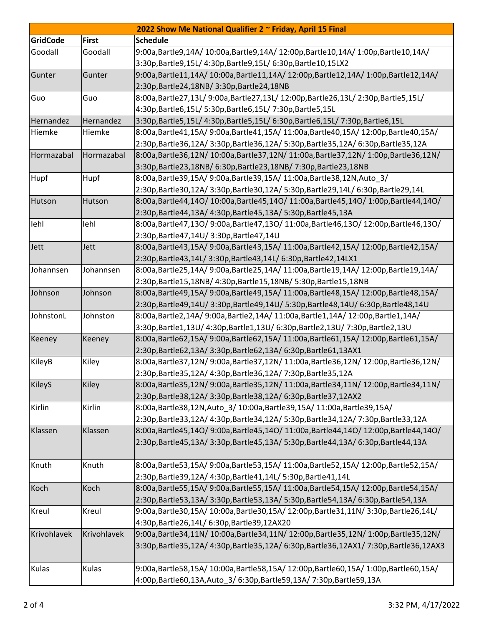| 2022 Show Me National Qualifier 2 ~ Friday, April 15 Final |              |                                                                                   |  |  |  |
|------------------------------------------------------------|--------------|-----------------------------------------------------------------------------------|--|--|--|
| <b>GridCode</b>                                            | <b>First</b> | <b>Schedule</b>                                                                   |  |  |  |
| Goodall                                                    | Goodall      | 9:00a,Bartle9,14A/10:00a,Bartle9,14A/12:00p,Bartle10,14A/1:00p,Bartle10,14A/      |  |  |  |
|                                                            |              | 3:30p, Bartle 9, 15L/ 4:30p, Bartle 9, 15L/ 6:30p, Bartle 10, 15LX2               |  |  |  |
| Gunter                                                     | Gunter       | 9:00a,Bartle11,14A/10:00a,Bartle11,14A/12:00p,Bartle12,14A/1:00p,Bartle12,14A/    |  |  |  |
|                                                            |              | 2:30p,Bartle24,18NB/ 3:30p,Bartle24,18NB                                          |  |  |  |
| Guo                                                        | Guo          | 8:00a,Bartle27,13L/9:00a,Bartle27,13L/12:00p,Bartle26,13L/2:30p,Bartle5,15L/      |  |  |  |
|                                                            |              | 4:30p,Bartle6,15L/ 5:30p,Bartle6,15L/ 7:30p,Bartle5,15L                           |  |  |  |
| Hernandez                                                  | Hernandez    | 3:30p,Bartle5,15L/4:30p,Bartle5,15L/6:30p,Bartle6,15L/7:30p,Bartle6,15L           |  |  |  |
| Hiemke                                                     | Hiemke       | 8:00a,Bartle41,15A/9:00a,Bartle41,15A/11:00a,Bartle40,15A/12:00p,Bartle40,15A/    |  |  |  |
|                                                            |              | 2:30p,Bartle36,12A/3:30p,Bartle36,12A/5:30p,Bartle35,12A/6:30p,Bartle35,12A       |  |  |  |
| Hormazabal                                                 | Hormazabal   | 8:00a,Bartle36,12N/ 10:00a,Bartle37,12N/ 11:00a,Bartle37,12N/ 1:00p,Bartle36,12N/ |  |  |  |
|                                                            |              | 3:30p,Bartle23,18NB/ 6:30p,Bartle23,18NB/ 7:30p,Bartle23,18NB                     |  |  |  |
| Hupf                                                       | Hupf         | 8:00a, Bartle 39, 15A/ 9:00a, Bartle 39, 15A/ 11:00a, Bartle 38, 12N, Auto_3/     |  |  |  |
|                                                            |              | 2:30p,Bartle30,12A/ 3:30p,Bartle30,12A/ 5:30p,Bartle29,14L/ 6:30p,Bartle29,14L    |  |  |  |
| Hutson                                                     | Hutson       | 8:00a,Bartle44,14O/10:00a,Bartle45,14O/11:00a,Bartle45,14O/1:00p,Bartle44,14O/    |  |  |  |
|                                                            |              | 2:30p,Bartle44,13A/ 4:30p,Bartle45,13A/ 5:30p,Bartle45,13A                        |  |  |  |
| lehl                                                       | lehl         | 8:00a,Bartle47,13O/9:00a,Bartle47,13O/11:00a,Bartle46,13O/12:00p,Bartle46,13O/    |  |  |  |
|                                                            |              | 2:30p, Bartle47, 14U / 3:30p, Bartle47, 14U                                       |  |  |  |
| Jett                                                       | Jett         | 8:00a,Bartle43,15A/9:00a,Bartle43,15A/11:00a,Bartle42,15A/12:00p,Bartle42,15A/    |  |  |  |
|                                                            |              | 2:30p,Bartle43,14L/ 3:30p,Bartle43,14L/ 6:30p,Bartle42,14LX1                      |  |  |  |
| Johannsen                                                  | Johannsen    | 8:00a,Bartle25,14A/ 9:00a,Bartle25,14A/ 11:00a,Bartle19,14A/ 12:00p,Bartle19,14A/ |  |  |  |
|                                                            |              | 2:30p, Bartle15, 18NB/ 4:30p, Bartle15, 18NB/ 5:30p, Bartle15, 18NB               |  |  |  |
| Johnson                                                    | Johnson      | 8:00a,Bartle49,15A/9:00a,Bartle49,15A/11:00a,Bartle48,15A/12:00p,Bartle48,15A/    |  |  |  |
|                                                            |              | 2:30p,Bartle49,14U/ 3:30p,Bartle49,14U/ 5:30p,Bartle48,14U/ 6:30p,Bartle48,14U    |  |  |  |
| JohnstonL                                                  | Johnston     | 8:00a,Bartle2,14A/ 9:00a,Bartle2,14A/ 11:00a,Bartle1,14A/ 12:00p,Bartle1,14A/     |  |  |  |
|                                                            |              | 3:30p,Bartle1,13U/ 4:30p,Bartle1,13U/ 6:30p,Bartle2,13U/ 7:30p,Bartle2,13U        |  |  |  |
| Keeney                                                     | Keeney       | 8:00a,Bartle62,15A/9:00a,Bartle62,15A/11:00a,Bartle61,15A/12:00p,Bartle61,15A/    |  |  |  |
|                                                            |              | 2:30p,Bartle62,13A/ 3:30p,Bartle62,13A/ 6:30p,Bartle61,13AX1                      |  |  |  |
| KileyB                                                     | Kiley        | 8:00a,Bartle37,12N/9:00a,Bartle37,12N/11:00a,Bartle36,12N/12:00p,Bartle36,12N/    |  |  |  |
|                                                            |              | 2:30p, Bartle 35, 12A/ 4:30p, Bartle 36, 12A/ 7:30p, Bartle 35, 12A               |  |  |  |
| KileyS                                                     | Kiley        | 8:00a,Bartle35,12N/9:00a,Bartle35,12N/11:00a,Bartle34,11N/12:00p,Bartle34,11N/    |  |  |  |
|                                                            |              | 2:30p, Bartle 38, 12A / 3:30p, Bartle 38, 12A / 6:30p, Bartle 37, 12AX 2          |  |  |  |
| Kirlin                                                     | Kirlin       | 8:00a, Bartle38, 12N, Auto_3/ 10:00a, Bartle39, 15A / 11:00a, Bartle39, 15A /     |  |  |  |
|                                                            |              | 2:30p,Bartle33,12A/ 4:30p,Bartle34,12A/ 5:30p,Bartle34,12A/ 7:30p,Bartle33,12A    |  |  |  |
| Klassen                                                    | Klassen      | 8:00a,Bartle45,14O/9:00a,Bartle45,14O/11:00a,Bartle44,14O/12:00p,Bartle44,14O/    |  |  |  |
|                                                            |              | 2:30p,Bartle45,13A/ 3:30p,Bartle45,13A/ 5:30p,Bartle44,13A/ 6:30p,Bartle44,13A    |  |  |  |
|                                                            |              |                                                                                   |  |  |  |
| Knuth                                                      | Knuth        | 8:00a,Bartle53,15A/ 9:00a,Bartle53,15A/ 11:00a,Bartle52,15A/ 12:00p,Bartle52,15A/ |  |  |  |
|                                                            |              | 2:30p,Bartle39,12A/ 4:30p,Bartle41,14L/ 5:30p,Bartle41,14L                        |  |  |  |
| Koch                                                       | Koch         | 8:00a,Bartle55,15A/ 9:00a,Bartle55,15A/ 11:00a,Bartle54,15A/ 12:00p,Bartle54,15A/ |  |  |  |
|                                                            |              | 2:30p,Bartle53,13A/ 3:30p,Bartle53,13A/ 5:30p,Bartle54,13A/ 6:30p,Bartle54,13A    |  |  |  |
| Kreul                                                      | Kreul        | 9:00a,Bartle30,15A/10:00a,Bartle30,15A/12:00p,Bartle31,11N/3:30p,Bartle26,14L/    |  |  |  |
|                                                            |              | 4:30p, Bartle 26, 14L / 6:30p, Bartle 39, 12AX20                                  |  |  |  |
| Krivohlavek                                                | Krivohlavek  | 9:00a,Bartle34,11N/ 10:00a,Bartle34,11N/ 12:00p,Bartle35,12N/ 1:00p,Bartle35,12N/ |  |  |  |
|                                                            |              | 3:30p,Bartle35,12A/4:30p,Bartle35,12A/6:30p,Bartle36,12AX1/7:30p,Bartle36,12AX3   |  |  |  |
|                                                            |              |                                                                                   |  |  |  |
| Kulas                                                      | Kulas        | 9:00a,Bartle58,15A/10:00a,Bartle58,15A/12:00p,Bartle60,15A/1:00p,Bartle60,15A/    |  |  |  |
|                                                            |              | 4:00p,Bartle60,13A,Auto_3/ 6:30p,Bartle59,13A/ 7:30p,Bartle59,13A                 |  |  |  |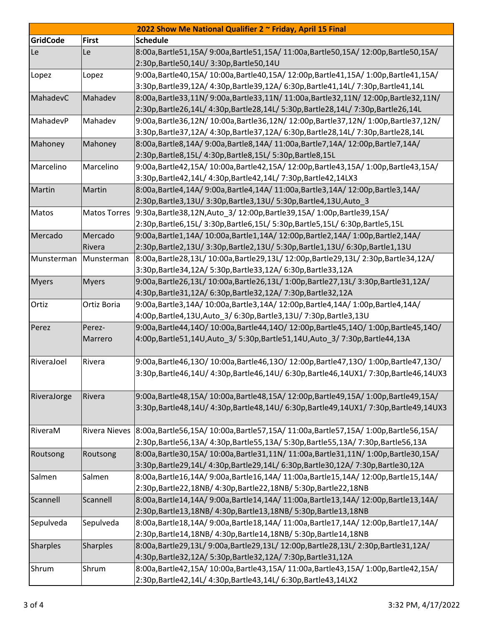| 2022 Show Me National Qualifier 2 ~ Friday, April 15 Final |                      |                                                                                    |  |  |
|------------------------------------------------------------|----------------------|------------------------------------------------------------------------------------|--|--|
| <b>GridCode</b>                                            | <b>First</b>         | <b>Schedule</b>                                                                    |  |  |
| Le                                                         | Le                   | 8:00a,Bartle51,15A/9:00a,Bartle51,15A/11:00a,Bartle50,15A/12:00p,Bartle50,15A/     |  |  |
|                                                            |                      | 2:30p,Bartle50,14U/ 3:30p,Bartle50,14U                                             |  |  |
| Lopez                                                      | Lopez                | 9:00a,Bartle40,15A/ 10:00a,Bartle40,15A/ 12:00p,Bartle41,15A/ 1:00p,Bartle41,15A/  |  |  |
|                                                            |                      | 3:30p,Bartle39,12A/ 4:30p,Bartle39,12A/ 6:30p,Bartle41,14L/ 7:30p,Bartle41,14L     |  |  |
| MahadevC                                                   | Mahadev              | 8:00a,Bartle33,11N/9:00a,Bartle33,11N/11:00a,Bartle32,11N/12:00p,Bartle32,11N/     |  |  |
|                                                            |                      | 2:30p,Bartle26,14L/ 4:30p,Bartle28,14L/ 5:30p,Bartle28,14L/ 7:30p,Bartle26,14L     |  |  |
| MahadevP                                                   | Mahadev              | 9:00a,Bartle36,12N/ 10:00a,Bartle36,12N/ 12:00p,Bartle37,12N/ 1:00p,Bartle37,12N/  |  |  |
|                                                            |                      | 3:30p,Bartle37,12A/ 4:30p,Bartle37,12A/ 6:30p,Bartle28,14L/ 7:30p,Bartle28,14L     |  |  |
| Mahoney                                                    | Mahoney              | 8:00a,Bartle8,14A/ 9:00a,Bartle8,14A/ 11:00a,Bartle7,14A/ 12:00p,Bartle7,14A/      |  |  |
|                                                            |                      | 2:30p, Bartle 8, 15L/ 4:30p, Bartle 8, 15L/ 5:30p, Bartle 8, 15L                   |  |  |
| Marcelino                                                  | Marcelino            | 9:00a,Bartle42,15A/ 10:00a,Bartle42,15A/ 12:00p,Bartle43,15A/ 1:00p,Bartle43,15A/  |  |  |
|                                                            |                      | 3:30p, Bartle42, 14L/ 4:30p, Bartle42, 14L/ 7:30p, Bartle42, 14LX3                 |  |  |
| Martin                                                     | Martin               | 8:00a,Bartle4,14A/ 9:00a,Bartle4,14A/ 11:00a,Bartle3,14A/ 12:00p,Bartle3,14A/      |  |  |
|                                                            |                      | 2:30p, Bartle3, 13U/ 3:30p, Bartle3, 13U/ 5:30p, Bartle4, 13U, Auto_3              |  |  |
| Matos                                                      | <b>Matos Torres</b>  | 9:30a, Bartle 38, 12N, Auto 3/ 12:00p, Bartle 39, 15A / 1:00p, Bartle 39, 15A /    |  |  |
|                                                            |                      | 2:30p,Bartle6,15L/ 3:30p,Bartle6,15L/ 5:30p,Bartle5,15L/ 6:30p,Bartle5,15L         |  |  |
| Mercado                                                    | Mercado              | 9:00a,Bartle1,14A/10:00a,Bartle1,14A/12:00p,Bartle2,14A/1:00p,Bartle2,14A/         |  |  |
|                                                            | Rivera               | 2:30p,Bartle2,13U/ 3:30p,Bartle2,13U/ 5:30p,Bartle1,13U/ 6:30p,Bartle1,13U         |  |  |
| Munsterman                                                 | Munsterman           | 8:00a,Bartle28,13L/10:00a,Bartle29,13L/12:00p,Bartle29,13L/2:30p,Bartle34,12A/     |  |  |
|                                                            |                      | 3:30p, Bartle 34, 12A/ 5:30p, Bartle 33, 12A/ 6:30p, Bartle 33, 12A                |  |  |
| <b>Myers</b>                                               | <b>Myers</b>         | 9:00a,Bartle26,13L/10:00a,Bartle26,13L/1:00p,Bartle27,13L/3:30p,Bartle31,12A/      |  |  |
|                                                            |                      | 4:30p,Bartle31,12A/ 6:30p,Bartle32,12A/ 7:30p,Bartle32,12A                         |  |  |
| Ortiz                                                      | Ortiz Boria          | 9:00a,Bartle3,14A/ 10:00a,Bartle3,14A/ 12:00p,Bartle4,14A/ 1:00p,Bartle4,14A/      |  |  |
|                                                            |                      | 4:00p, Bartle4, 13U, Auto_3/ 6:30p, Bartle3, 13U/ 7:30p, Bartle3, 13U              |  |  |
| Perez                                                      | Perez-               | 9:00a,Bartle44,14O/10:00a,Bartle44,14O/12:00p,Bartle45,14O/1:00p,Bartle45,14O/     |  |  |
|                                                            | Marrero              | 4:00p,Bartle51,14U,Auto_3/5:30p,Bartle51,14U,Auto_3/7:30p,Bartle44,13A             |  |  |
| RiveraJoel                                                 | Rivera               | 9:00a,Bartle46,13O/10:00a,Bartle46,13O/12:00p,Bartle47,13O/1:00p,Bartle47,13O/     |  |  |
|                                                            |                      | 3:30p,Bartle46,14U/ 4:30p,Bartle46,14U/ 6:30p,Bartle46,14UX1/ 7:30p,Bartle46,14UX3 |  |  |
|                                                            |                      |                                                                                    |  |  |
| RiveraJorge                                                | Rivera               | 9:00a,Bartle48,15A/ 10:00a,Bartle48,15A/ 12:00p,Bartle49,15A/ 1:00p,Bartle49,15A/  |  |  |
|                                                            |                      | 3:30p,Bartle48,14U/4:30p,Bartle48,14U/6:30p,Bartle49,14UX1/7:30p,Bartle49,14UX3    |  |  |
|                                                            |                      |                                                                                    |  |  |
| RiveraM                                                    | <b>Rivera Nieves</b> | 8:00a,Bartle56,15A/10:00a,Bartle57,15A/11:00a,Bartle57,15A/1:00p,Bartle56,15A/     |  |  |
|                                                            |                      | 2:30p,Bartle56,13A/ 4:30p,Bartle55,13A/ 5:30p,Bartle55,13A/ 7:30p,Bartle56,13A     |  |  |
| Routsong                                                   | Routsong             | 8:00a,Bartle30,15A/ 10:00a,Bartle31,11N/ 11:00a,Bartle31,11N/ 1:00p,Bartle30,15A/  |  |  |
|                                                            |                      | 3:30p,Bartle29,14L/ 4:30p,Bartle29,14L/ 6:30p,Bartle30,12A/ 7:30p,Bartle30,12A     |  |  |
| Salmen                                                     | Salmen               | 8:00a,Bartle16,14A/9:00a,Bartle16,14A/11:00a,Bartle15,14A/12:00p,Bartle15,14A/     |  |  |
|                                                            |                      | 2:30p, Bartle 22, 18NB/ 4:30p, Bartle 22, 18NB/ 5:30p, Bartle 22, 18NB             |  |  |
| Scannell                                                   | Scannell             | 8:00a,Bartle14,14A/ 9:00a,Bartle14,14A/ 11:00a,Bartle13,14A/ 12:00p,Bartle13,14A/  |  |  |
|                                                            |                      | 2:30p, Bartle 13, 18NB/ 4:30p, Bartle 13, 18NB/ 5:30p, Bartle 13, 18NB             |  |  |
| Sepulveda                                                  | Sepulveda            | 8:00a,Bartle18,14A/9:00a,Bartle18,14A/11:00a,Bartle17,14A/12:00p,Bartle17,14A/     |  |  |
|                                                            |                      | 2:30p, Bartle 14, 18NB/ 4:30p, Bartle 14, 18NB/ 5:30p, Bartle 14, 18NB             |  |  |
| <b>Sharples</b>                                            | Sharples             | 8:00a,Bartle29,13L/9:00a,Bartle29,13L/12:00p,Bartle28,13L/2:30p,Bartle31,12A/      |  |  |
|                                                            |                      | 4:30p,Bartle32,12A/ 5:30p,Bartle32,12A/ 7:30p,Bartle31,12A                         |  |  |
| Shrum                                                      | Shrum                | 8:00a,Bartle42,15A/10:00a,Bartle43,15A/11:00a,Bartle43,15A/1:00p,Bartle42,15A/     |  |  |
|                                                            |                      | 2:30p, Bartle42, 14L/ 4:30p, Bartle43, 14L/ 6:30p, Bartle43, 14LX2                 |  |  |